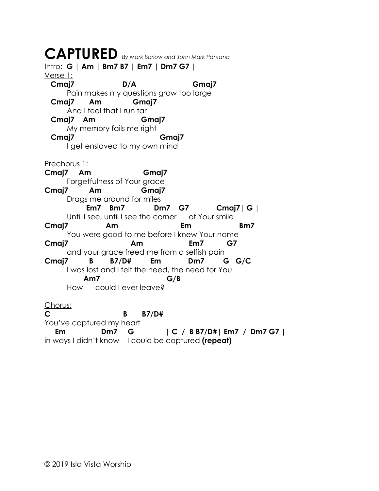## **CAPTURED** *By Mark Barlow and John Mark Pantana* Intro: **G | Am | Bm7 B7 | Em7 | Dm7 G7 |** Verse 1: **Cmaj7 D/A Gmaj7** Pain makes my questions grow too large  **Cmaj7 Am Gmaj7** And I feel that I run far  **Cmaj7 Am Gmaj7** My memory fails me right  **Cmaj7 Gmaj7** I get enslaved to my own mind Prechorus 1: **Cmaj7 Am Gmaj7** Forgetfulness of Your grace **Cmaj7 Am Gmaj7** Drags me around for miles  **Em7 Bm7 Dm7 G7 |Cmaj7| G |** Until I see, until I see the corner of Your smile Cmaj7 Am Em Bm7 You were good to me before I knew Your name **Cmaj7 Am Em7 G7** and your grace freed me from a selfish pain **Cmaj7 B B7/D# Em Dm7 G G/C** I was lost and I felt the need, the need for You  **Am7 G/B** How could I ever leave? Chorus: **C B B7/D#** You've captured my heart  **Em Dm7 G | C / B B7/D#| Em7 / Dm7 G7 |** in ways I didn't know I could be captured **(repeat)**